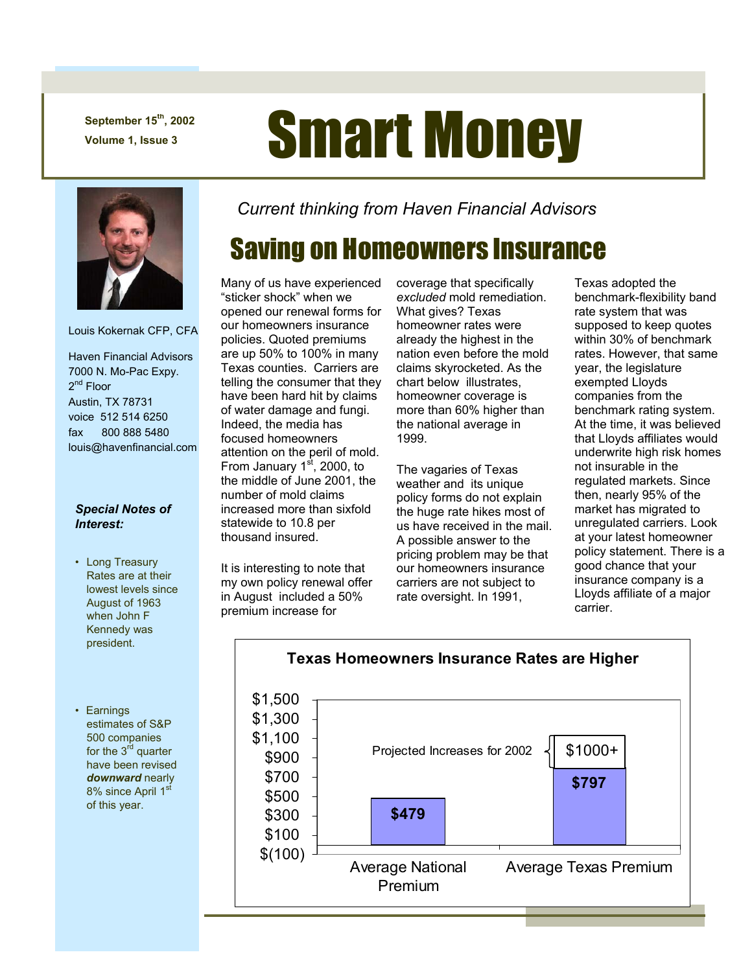**September 15th, 2002** 

## September 15<sup>th</sup>, 2002<br>Volume 1, Issue 3 **Smart Money**



Louis Kokernak CFP, CFA

 Haven Financial Advisors 7000 N. Mo-Pac Expy. 2<sup>nd</sup> Floor Austin, TX 78731 voice 512 514 6250 fax 800 888 5480 louis@havenfinancial.com

## *Special Notes of Interest:*

- Long Treasury Rates are at their lowest levels since August of 1963 when John F Kennedy was president.
- Earnings estimates of S&P 500 companies for the  $3^{\dot{r}\dot{d}}$  quarter have been revised *downward* nearly 8% since April 1<sup>st</sup> of this year.

*Current thinking from Haven Financial Advisors* 

## Saving on Homeowners Insurance

Many of us have experienced "sticker shock" when we opened our renewal forms for our homeowners insurance policies. Quoted premiums are up 50% to 100% in many Texas counties. Carriers are telling the consumer that they have been hard hit by claims of water damage and fungi. Indeed, the media has focused homeowners attention on the peril of mold. From January  $1<sup>st</sup>$ , 2000, to the middle of June 2001, the number of mold claims increased more than sixfold statewide to 10.8 per thousand insured.

It is interesting to note that my own policy renewal offer in August included a 50% premium increase for

coverage that specifically *excluded* mold remediation. What gives? Texas homeowner rates were already the highest in the nation even before the mold claims skyrocketed. As the chart below illustrates, homeowner coverage is more than 60% higher than the national average in 1999.

The vagaries of Texas weather and its unique policy forms do not explain the huge rate hikes most of us have received in the mail. A possible answer to the pricing problem may be that our homeowners insurance carriers are not subject to rate oversight. In 1991,

Texas adopted the benchmark-flexibility band rate system that was supposed to keep quotes within 30% of benchmark rates. However, that same year, the legislature exempted Lloyds companies from the benchmark rating system. At the time, it was believed that Lloyds affiliates would underwrite high risk homes not insurable in the regulated markets. Since then, nearly 95% of the market has migrated to unregulated carriers. Look at your latest homeowner policy statement. There is a good chance that your insurance company is a Lloyds affiliate of a major carrier.



**Texas Homeowners Insurance Rates are Higher**